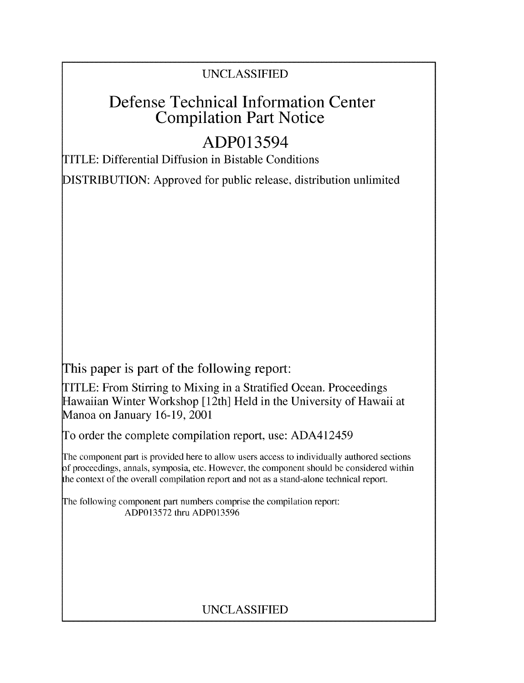## UNCLASSIFIED

# Defense Technical Information Center Compilation Part Notice

# ADP013594

TITLE: Differential Diffusion in Bistable Conditions

DISTRIBUTION: Approved for public release, distribution unlimited

This paper is part of the following report:

TITLE: From Stirring to Mixing in a Stratified Ocean. Proceedings Hawaiian Winter Workshop [ 12th] Held in the University of Hawaii at Manoa on January 16-19, 2001

To order the complete compilation report, use: ADA412459

The component part is provided here to allow users access to individually authored sections **)f** proceedings, annals, symposia, etc. However, the component should be considered within [he context of the overall compilation report and not as a stand-alone technical report.

The following component part numbers comprise the compilation report: ADP013572 thru ADP013596

## UNCLASSIFIED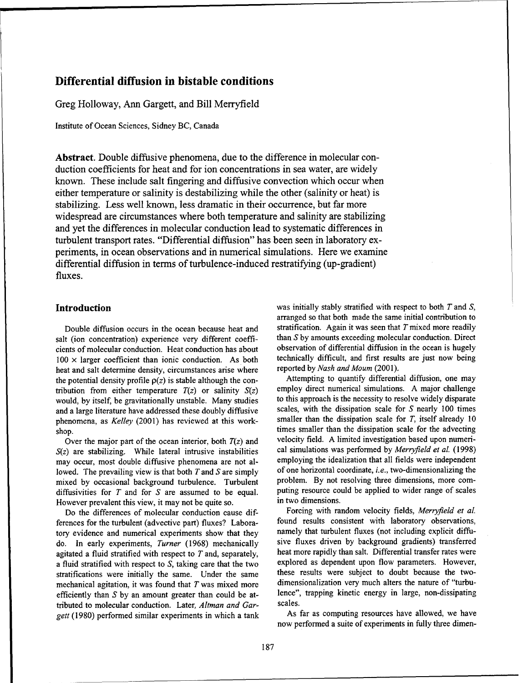### Differential diffusion in bistable conditions

Greg Holloway, Ann Gargett, and Bill Merryfield

Institute of Ocean Sciences, Sidney BC, Canada

Abstract. Double diffusive phenomena, due to the difference in molecular conduction coefficients for heat and for ion concentrations in sea water, are widely known. These include salt fingering and diffusive convection which occur when either temperature or salinity is destabilizing while the other (salinity or heat) is stabilizing. Less well known, less dramatic in their occurrence, but far more widespread are circumstances where both temperature and salinity are stabilizing and yet the differences in molecular conduction lead to systematic differences in turbulent transport rates. "Differential diffusion" has been seen in laboratory experiments, in ocean observations and in numerical simulations. Here we examine differential diffusion in terms of turbulence-induced restratifying (up-gradient) fluxes.

salt (ion concentration) experience very different coeffi-<br>cients of molecular conduction. Heat conduction has about observation of differential diffusion in the ocean is hugely cients of molecular conduction. Heat conduction has about  $100 \times$  larger coefficient than ionic conduction. As both technically difficult, and first results are just now being heat and salt determine density circumstances arise where reported by Nash and Moum (2001). heat and salt determine density, circumstances arise where reported by *Nash and Moum* (2001).<br>the potential density profile  $Q(z)$  is stable although the con-<br>Attempting to quantify differential diffusion, one may the potential density profile  $p(z)$  is stable although the con-<br>tribution from either temperature  $T(z)$  or salinity  $S(z)$  employ direct numerical simulations. A major challenge tribution from either temperature  $T(z)$  or salinity  $S(z)$  employ direct numerical simulations. A major challenge<br>would by itself be gravitationally unstable. Many studies to this approach is the necessity to resolve widel would, by itself, be gravitationally unstable. Many studies to this approach is the necessity to resolve widely disparate<br>and a large literature have addressed these doubly diffusive scales, with the dissipation scale for and a large literature have addressed these doubly diffusive scales, with the dissipation scale for S nearly 100 times<br>phenomena as Kelley (2001) has reviewed at this work-<br>smaller than the dissipation scale for T, itself phenomena, as *Kelley* (2001) has reviewed at this work-

*S(z)* are stabilizing. While lateral intrusive instabilities cal simulations was performed by *Merryfield et al.* (1998) may occur, most double diffusive phenomena are not al-<br>lowed. The prevailing view is that both  $T$  and  $S$  are simply of one horizontal coordinate, *i.e.*, two-dimensionalizing the lowed. The prevailing view is that both  $T$  and  $S$  are simply mixed by occasional background turbulence. Turbulent problem. By not resolving three dimensions, more com-<br>diffusivities for  $T$  and for  $S$  are assumed to be equal puting resource could be applied to wider range of scale diffusivities for  $T$  and for  $S$  are assumed to be equal. However prevalent this view, it may not be quite so. in two dimensions.<br>Do the differences of molecular conduction cause dif-<br>Forcing with random velocity fields, Merryfield et al.

Do the differences of molecular conduction cause differences for the turbulent (advective part) fluxes? Labora- found results consistent with laboratory observations, tory evidence and numerical experiments show that they namely that turbulent fluxes (not including explicit diffudo. In early experiments, *Turner* (1968) mechanically sive fluxes driven by background gradients) transferred agitated a fluid stratified with respect to  $T$  and, separately, heat more rapidly than salt. Differential transfer rates were a fluid stratified with respect to  $\overline{S}$ , taking care that the two explored as dependent upon flow parameters. However, stratifications were initially the same. Under the same stratifications were initially the same. Under the same these results were subject to doubt because the two-<br>mechanical agitation it was found that  $T$  was mixed more dimensionalization very much alters the nature of "tur mechanical agitation, it was found that  $T$  was mixed more efficiently than S by an amount greater than could be at-<br>tributed to molecular conduction. Later Altman and Gar-<br>scales. tributed to molecular conduction. Later, *Altman and Gar-*<br>gett (1980) performed similar experiments in which a tank As far as computing resources have allowed, we have *gett* (1980) performed similar experiments in which a tank

Introduction **Introduction** was initially stably stratified with respect to both T and S, arranged so that both made the same initial contribution to Double diffusion occurs in the ocean because heat and stratification. Again it was seen that  $T$  mixed more readily

shop.<br>Over the major part of the ocean interior both  $T(z)$  and velocity field. A limited investigation based upon numeri-Over the major part of the ocean interior, both  $T(z)$  and velocity field. A limited investigation based upon numeri-<br>a are stabilizing While lateral intrusive instabilities cal simulations was performed by *Merryfield et* 

now performed a suite of experiments in fully three dimen-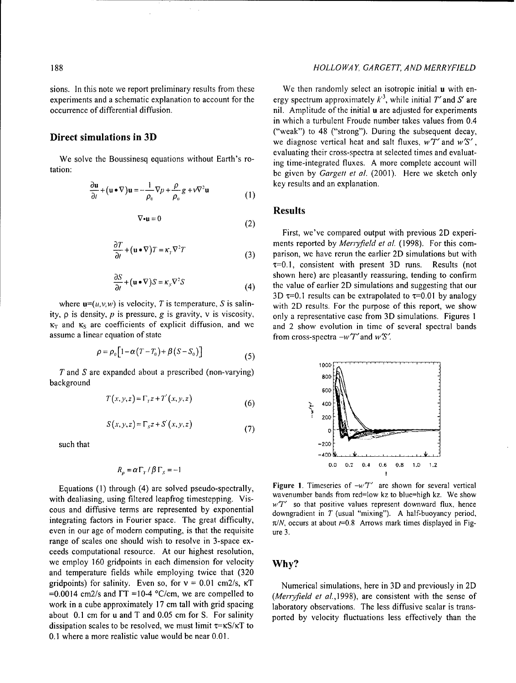experiments and a schematic explanation to account for the occurrence of differential diffusion. The initial use of the initial use adjusted for experiments

$$
\frac{\partial \mathbf{u}}{\partial t} + (\mathbf{u} \bullet \nabla) \mathbf{u} = -\frac{1}{\rho_0} \nabla p + \frac{\rho}{\rho_0} g + v \nabla^2 \mathbf{u}
$$
 (1)

$$
\nabla \cdot \mathbf{u} = 0 \tag{2}
$$

$$
\frac{\partial T}{\partial t} + (\mathbf{u} \bullet \nabla) T = \kappa_r \nabla^2 T \tag{3}
$$

$$
\frac{\partial S}{\partial t} + (\mathbf{u} \bullet \nabla) S = \kappa_s \nabla^2 S \tag{4}
$$

ity,  $\rho$  is density,  $p$  is pressure,  $g$  is gravity,  $v$  is viscosity, only a representative case from 3D simulations. Figures 1  $\kappa_T$  and  $\kappa_S$  are coefficients of explicit diffusion, and we and 2 show evolution in time of several spectral bands assume a linear equation of state  $f''$  from cross-spectra  $-w'T'$  and  $w'S'$ .

$$
\rho = \rho_0 \left[ 1 - \alpha \left( T - T_0 \right) + \beta \left( S - S_0 \right) \right] \tag{5}
$$

*T* and *S* are expanded about a prescribed (non-varying) 800 background

$$
T(x, y, z) = \Gamma_{\gamma} z + T'(x, y, z)
$$

$$
S(x, y, z) = \Gamma_s z + S'(x, y, z)
$$
 (7)

such that  $\sim$  200  $\sim$  200  $\sim$  200  $\sim$  200  $\sim$  200  $\sim$  200  $\sim$  200  $\sim$  200  $\sim$  200  $\sim$  200  $\sim$  200  $\sim$  200  $\sim$  200  $\sim$  200  $\sim$  200  $\sim$  200  $\sim$  200  $\sim$  200  $\sim$  200  $\sim$  200  $\sim$  200  $\sim$  200  $\sim$  200  $\sim$ 

$$
R_{\rho} = \alpha \Gamma_{\tau} / \beta \Gamma_{s} = -1
$$

with dealiasing, using filtered leapfrog timestepping. Viscous and diffusive terms are represented by exponential downgradient in T (usual "mixing"). A half-buoyancy period, integrating factors in Fourier space. The great difficulty,  $\pi/N$ , occurs at about  $t=0.8$  Arrows mark times displayed in Figeven in our age of modern computing, is that the requisite  $ure 3$ . range of scales one should wish to resolve in 3-space exceeds computational resource. At our highest resolution, we employ 160 gridpoints in each dimension for velocity **Why?** and temperature fields while employing twice that (320 gridpoints) for salinity. Even so, for  $v = 0.01$  cm2/s,  $\kappa T$  Numerical simulations, here in 3D and previously in 2D  $=0.0014$  cm2/s and  $\Gamma$ T =10-4 °C/cm, we are compelled to *(Merryfield et al.,1998)*, are consistent with the sense of work in a cube approximately 17 cm tall with grid spacing laboratory observations. The less diffusive scalar is transabout 0.1 cm for u and T and 0.05 cm for S. For salinity ported by velocity fluctuations less effectively than the dissipation scales to be resolved, we must limit  $\tau = \kappa S / \kappa T$  to 0.1 where a more realistic value would be near 0.01.

### 188 *HOLLOWAY, GARGETT, AND MERRYFIELD*

sions. In this note we report preliminary results from these We then randomly select an isotropic initial **u** with energy spectrum approximately  $k<sup>3</sup>$ , while initial T' and S' are in which a turbulent Froude number takes values from 0.4 **Direct simulations in 3D** ("weak") to 48 ("strong"). During the subsequent decay, we diagnose vertical heat and salt fluxes, wT' and *w'S',* evaluating their cross-spectra at selected times and evaluat-We solve the Boussinesq equations without Earth's ro-<br>tation:<br>tation:<br>tation:<br> $\frac{1}{2}$  for the singlet  $\frac{1}{2}$  (2001). Here we slatch asks be given by *Gargett et al.* (2001). Here we sketch only  $key$  results and an explanation.

### Results

First, we've compared output with previous 2D experiments reported by *Merryfield et al.* (1998). For this comparison, we have rerun the earlier 2D simulations but with  $\tau=0.1$ , consistent with present 3D runs. Results (not shown here) are pleasantly reassuring, tending to confirm the value of earlier 2D simulations and suggesting that our 3D  $\tau$ =0.1 results can be extrapolated to  $\tau$ =0.01 by analogy where  $\mathbf{u}=(u,v,w)$  is velocity, T is temperature, S is salin-<br>with 2D results. For the purpose of this report, we show



Equations (1) through (4) are solved pseudo-spectrally, Figure 1. Timeseries of  $-w^2T^2$  are shown for several vertical<br>the dealization wave filteral leasting time structure wavenumber bands from red=low kz to blue=high k w'T' so that positive values represent downward flux, hence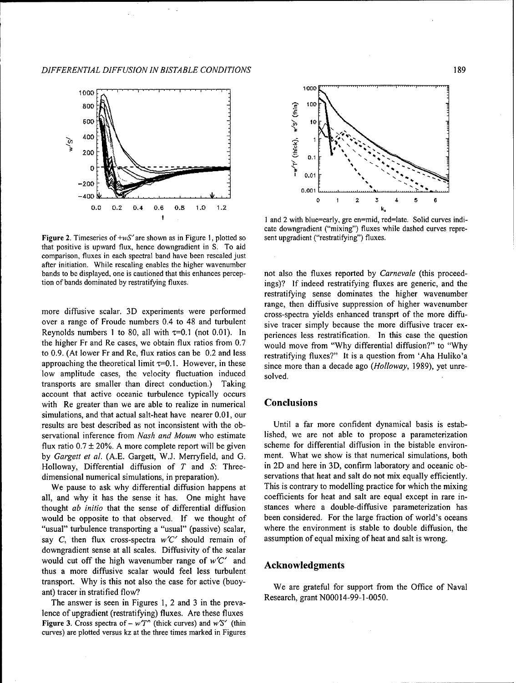

Figure 2. Timeseries of +wS' are shown as in Figure 1, plotted so sent upgradient ("restratifying") fluxes. that positive is upward flux, hence downgradient in S. To aid comparison, fluxes in each spectral band have been rescaled just after initiation. While rescaling enables the higher wavenumber bands to be displayed, one is cautioned that this enhances percep- not also the fluxes reported by *Carnevale* (this proceed-

over a range of Froude numbers 0.4 to 48 and turbulent sive tracer simply because the more diffusive tracer ex-Reynolds numbers 1 to 80, all with  $\tau$ =0.1 (not 0.01). In periences less restratification. In this case the question the higher Fr and Re cases, we obtain flux ratios from  $0.7 \text{ would move from "Why differential diffusion?" to "Why}$ to 0.9. (At lower Fr and Re, flux ratios can be 0.2 and less restratifying fluxes?" It is a question from 'Aha Huliko'a approaching the theoretical limit  $\tau$ =0.1. However, in these since more than a decade ago *(Holloway*, 1989), yet unrelow amplitude cases, the velocity fluctuation induced  $\log$  solved. transports are smaller than direct conduction.) Taking account that active oceanic turbulence typically occurs with Re greater than we are able to realize in numerical **Conclusions** simulations, and that actual salt-heat have nearer 0.01, our results are best described as not inconsistent with the ob- Until a far more confident dynamical basis is estabservational inference from *Nash and Mourn* who estimate lished, we are not able to propose a parameterization flux ratio 0.7 **±** 20%. A more complete report will be given scheme for differential diffusion in the bistable environby *Gargett et al.* (A.E. Gargett, W.J. Merryfield, and G. ment. What we show is that numerical simulations, both Holloway, Differential diffusion of T and **S:** Three- in 2D and here in 3D, confirm laboratory and oceanic ob-

all, and why it has the sense it has. One might have coefficients for heat and salt are equal except in rare inthought *ab initio* that the sense of differential diffusion stances where a double-diffusive parameterization has would be opposite to that observed. If we thought of been considered. For the large fraction of world's oceans "usual" turbulence transporting a "usual" (passive) scalar, where the environment is stable to double diffusion, the say C, then flux cross-spectra w'C' should remain of assumption of equal mixing of heat and salt is wrong. downgradient sense at all scales. Diffusivity of the scalar would cut off the high wavenumber range of  $w'C'$  and **Acknowledgments** thus a more diffusive scalar would feel less turbulent transport. Why is this not also the case for active (buoy-<br>We are grateful for support from the Office of Naval ant) tracer in stratified flow?<br>The argume is easy in Figures 1, 2 and 2 in the argument Research, grant N00014-99-1-0050.

The answer is seen in Figures 1, 2 and 3 in the prevalence of upgradient (restratifying) fluxes. Are these fluxes **Figure 3.** Cross spectra of –  $w'T'$  (thick curves) and  $w'S'$  (thin curves) are plotted versus kz at the three times marked in Figures



**t i** and 2 with blue=early, gre en=mid, red=late. Solid curves indicate downgradient ("mixing") fluxes while dashed curves repre-

tion of bands dominated by restratifying fluxes. ings)? If indeed restratifying fluxes are generic, and the restratifying sense dominates the higher wavenumber range, then diffusive suppression of higher wavenumber more diffusive scalar. 3D experiments were performed cross-spectra yields enhanced transprt of the more diffu-

dimensional numerical simulations, in preparation). servations that heat and salt do not mix equally efficiently. We pause to ask why differential diffusion happens at This is contrary to modelling practice for which the mixing